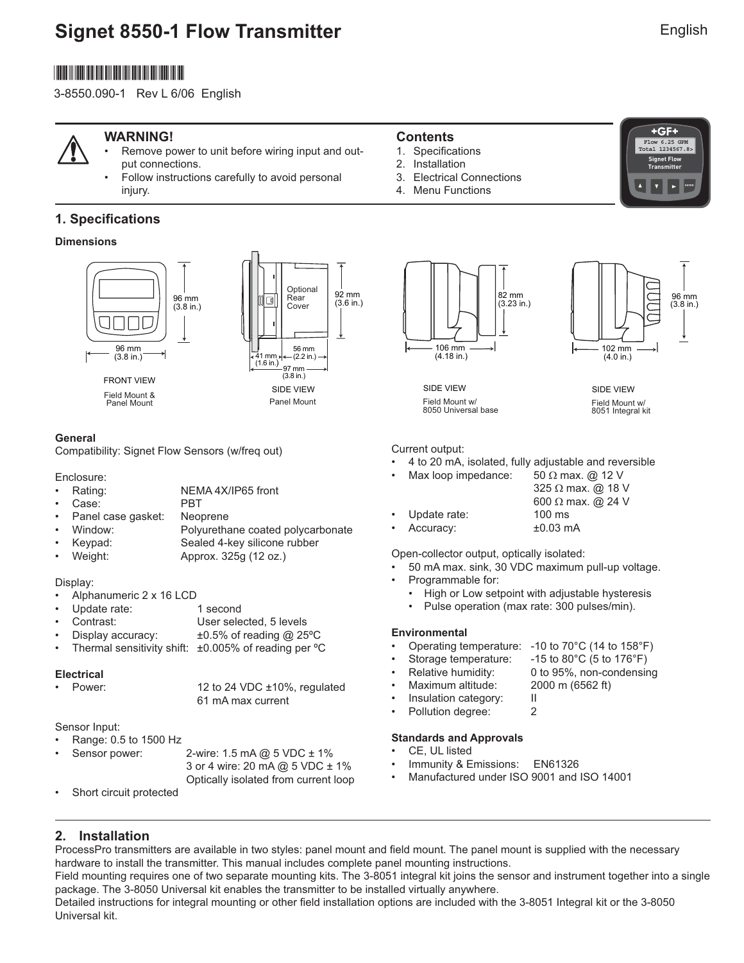# **Signet 8550-1 Flow Transmitter**

# \*3-8550.090-1\*

3-8550.090-1 Rev L 6/06 English



#### **WARNING!**

- Remove power to unit before wiring input and output connections.
- Follow instructions carefully to avoid personal injury.

### **1. Specifications**

#### **Dimensions**



Panel Mount



#### **General**

Compatibility: Signet Flow Sensors (w/freq out)

#### Enclosure:

- Rating: NEMA 4X/IP65 front
- Case: PBT
- Panel case gasket: Neoprene
- Window: Polyurethane coated polycarbonate
- Keypad: Sealed 4-key silicone rubber
- Weight: Approx. 325g (12 oz.)

#### Display:

- Alphanumeric 2 x 16 LCD
- Update rate: 1 second
- Contrast: User selected, 5 levels
- Display accuracy:  $\pm 0.5\%$  of reading @ 25°C
- Thermal sensitivity shift:  $\pm 0.005\%$  of reading per  $\degree C$

#### **Electrical**

| • Power: | 12 to 24 VDC ±10%, regulated |
|----------|------------------------------|
|          | 61 mA max current            |

#### Sensor Input:

- Range: 0.5 to 1500 Hz
- Sensor power: 2-wire: 1.5 mA @ 5 VDC ± 1%
	- 3 or 4 wire: 20 mA @ 5 VDC ± 1% Optically isolated from current loop
- Short circuit protected

#### **Contents**

- 1. Specifications
- 2. Installation
- 3. Electrical Connections
- 4. Menu Functions







SIDE VIEW Field Mount w/ 8050 Universal base

SIDE VIEW Field Mount w/ 8051 Integral kit

Current output:

- 4 to 20 mA, isolated, fully adjustable and reversible
- Max loop impedance:  $50 \Omega$  max. @ 12 V

|                | 325 $\Omega$ max. @ 18 V |
|----------------|--------------------------|
|                | 600 $\Omega$ max. @ 24 V |
| • Update rate: | $100 \text{ ms}$         |
| • Accuracy:    | $±0.03$ mA               |

Open-collector output, optically isolated:

- 50 mA max. sink, 30 VDC maximum pull-up voltage.
- Programmable for:
	- High or Low setpoint with adjustable hysteresis
	- Pulse operation (max rate: 300 pulses/min).

#### **Environmental**

- Operating temperature: -10 to 70°C (14 to 158°F)
- Storage temperature: -15 to 80°C (5 to 176°F)
	- Relative humidity: 0 to 95%, non-condensing
	- Maximum altitude: 2000 m (6562 ft)
- Insulation category: II
- Pollution degree: 2

#### **Standards and Approvals**

- CE, UL listed
- Immunity & Emissions: EN61326
- Manufactured under ISO 9001 and ISO 14001

### **2. Installation**

ProcessPro transmitters are available in two styles: panel mount and field mount. The panel mount is supplied with the necessary hardware to install the transmitter. This manual includes complete panel mounting instructions. Field mounting requires one of two separate mounting kits. The 3-8051 integral kit joins the sensor and instrument together into a single package. The 3-8050 Universal kit enables the transmitter to be installed virtually anywhere.

Detailed instructions for integral mounting or other field installation options are included with the 3-8051 Integral kit or the 3-8050 Universal kit.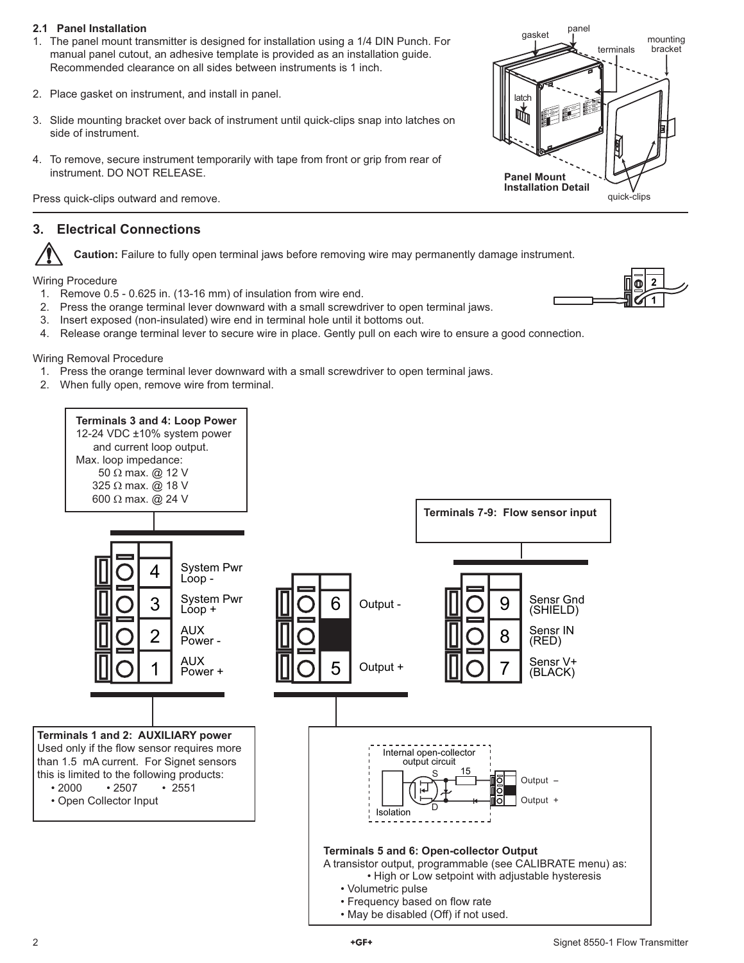#### **2.1 Panel Installation**

- 1. The panel mount transmitter is designed for installation using a 1/4 DIN Punch. For manual panel cutout, an adhesive template is provided as an installation guide. Recommended clearance on all sides between instruments is 1 inch.
- 2. Place gasket on instrument, and install in panel.
- 3. Slide mounting bracket over back of instrument until quick-clips snap into latches on side of instrument.
- 4. To remove, secure instrument temporarily with tape from front or grip from rear of instrument. DO NOT RELEASE.

Press quick-clips outward and remove.

### **3. Electrical Connections**

**Caution:** Failure to fully open terminal jaws before removing wire may permanently damage instrument.

Wiring Procedure

- 1. Remove 0.5 0.625 in. (13-16 mm) of insulation from wire end.
- 2. Press the orange terminal lever downward with a small screwdriver to open terminal jaws.
- 3. Insert exposed (non-insulated) wire end in terminal hole until it bottoms out.
- 4. Release orange terminal lever to secure wire in place. Gently pull on each wire to ensure a good connection.

Wiring Removal Procedure

- 1. Press the orange terminal lever downward with a small screwdriver to open terminal jaws.
- 2. When fully open, remove wire from terminal.





quick-clips

terminals

mounting bracket

gasket pane

**Output <sup>+</sup> Syste<sup>m</sup> Pw<sup>r</sup> Syste<sup>m</sup> Pw<sup>r</sup> <sup>4</sup>**

**Sens<sup>r</sup> Gn<sup>d</sup> (SHIELD) Sensr IN (RED) Sens<sup>r</sup> V+ (BLACK)**

latch

um

**Panel Mount Installation Detail**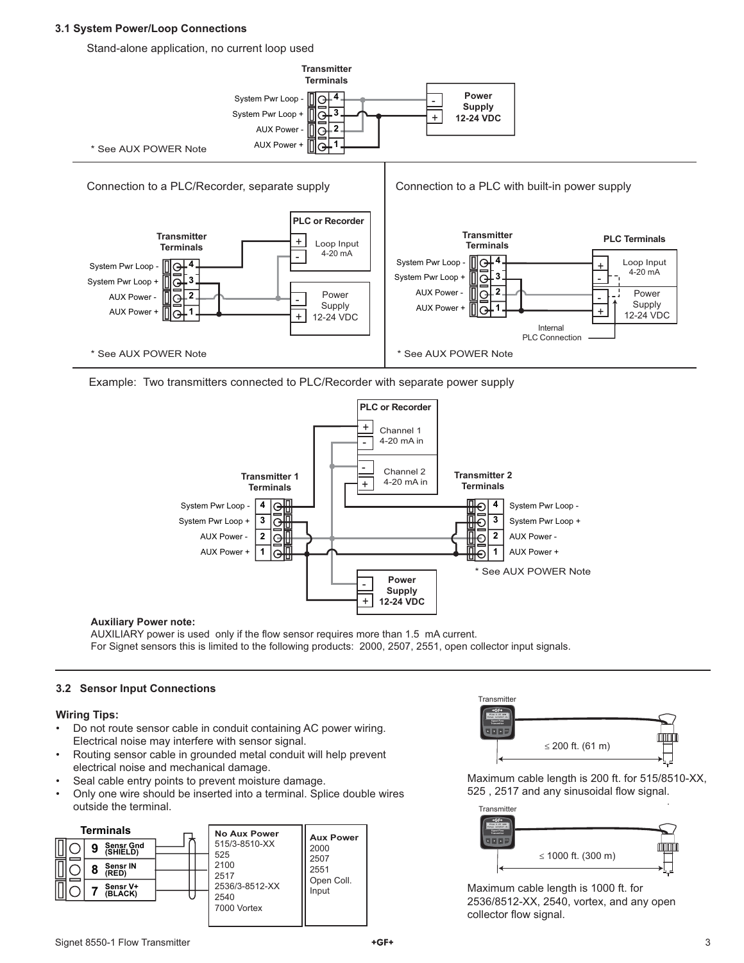#### **3.1 System Power/Loop Connections**

Stand-alone application, no current loop used



Example: Two transmitters connected to PLC/Recorder with separate power supply



#### **Auxiliary Power note:**

AUXILIARY power is used only if the flow sensor requires more than 1.5 mA current. For Signet sensors this is limited to the following products: 2000, 2507, 2551, open collector input signals.

#### **3.2 Sensor Input Connections**

#### **Wiring Tips:**

- Do not route sensor cable in conduit containing AC power wiring. Electrical noise may interfere with sensor signal.
- Routing sensor cable in grounded metal conduit will help prevent electrical noise and mechanical damage.
- Seal cable entry points to prevent moisture damage.
- Only one wire should be inserted into a terminal. Splice double wires outside the terminal.





Maximum cable length is 200 ft. for 515/8510-XX, 525, 2517 and any sinusoidal flow signal.



Maximum cable length is 1000 ft. for 2536/8512-XX, 2540, vortex, and any open collector flow signal.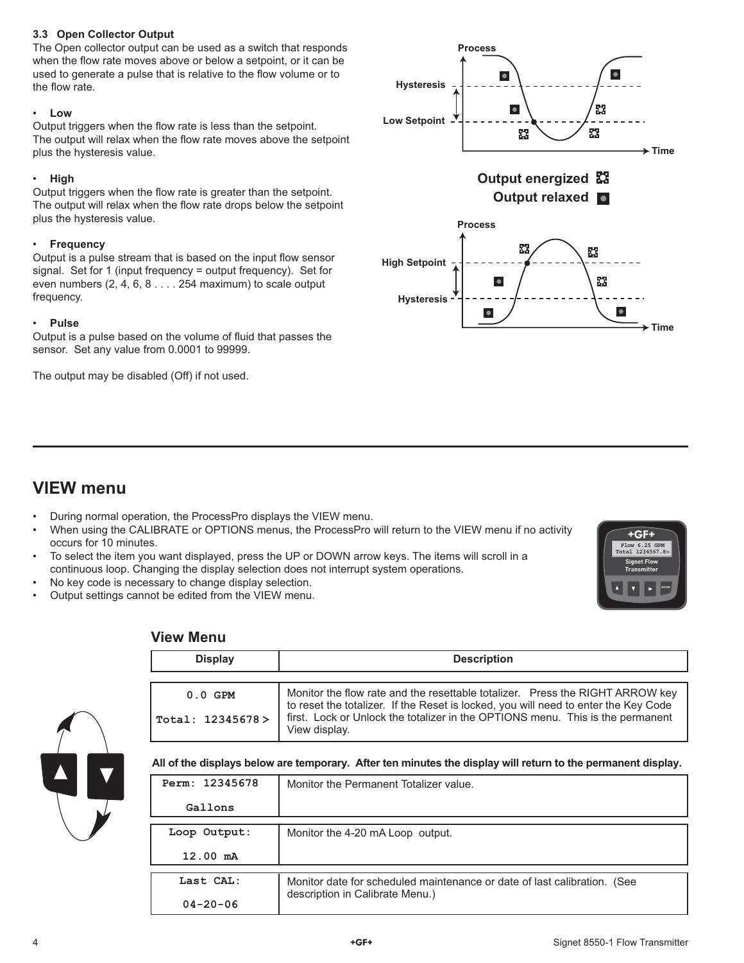#### **3.3 Open Collector Output**

The Open collector output can be used as a switch that responds when the flow rate moves above or below a setpoint, or it can be used to generate a pulse that is relative to the flow volume or to the flow rate.

#### • **Low**

Output triggers when the flow rate is less than the setpoint. The output will relax when the flow rate moves above the setpoint plus the hysteresis value.

#### • **High**

Output triggers when the flow rate is greater than the setpoint. The output will relax when the flow rate drops below the setpoint plus the hysteresis value.

#### • **Frequency**

Output is a pulse stream that is based on the input flow sensor signal. Set for 1 (input frequency = output frequency). Set for even numbers (2, 4, 6, 8 . . . . 254 maximum) to scale output frequency.

#### • **Pulse**

Output is a pulse based on the volume of fluid that passes the sensor. Set any value from 0.0001 to 99999.

The output may be disabled (Off) if not used.



## **VIEW menu**

- During normal operation, the ProcessPro displays the VIEW menu.
- When using the CALIBRATE or OPTIONS menus, the ProcessPro will return to the VIEW menu if no activity occurs for 10 minutes.
- To select the item you want displayed, press the UP or DOWN arrow keys. The items will scroll in a continuous loop. Changing the display selection does not interrupt system operations.
- No key code is necessary to change display selection.
- Output settings cannot be edited from the VIEW menu.



#### **View Menu**

| <b>Display</b>    | <b>Description</b>                                                                                                                                                                     |
|-------------------|----------------------------------------------------------------------------------------------------------------------------------------------------------------------------------------|
| $0.0$ GPM         | Monitor the flow rate and the resettable totalizer. Press the RIGHT ARROW key                                                                                                          |
| Total: 12345678 > | to reset the totalizer. If the Reset is locked, you will need to enter the Key Code<br>first. Lock or Unlock the totalizer in the OPTIONS menu. This is the permanent<br>View display. |

**All of the displays below are temporary. After ten minutes the display will return to the permanent display.**

| Perm: 12345678     | Monitor the Permanent Totalizer value.                                   |
|--------------------|--------------------------------------------------------------------------|
| Gallons            |                                                                          |
| Loop Output:       | Monitor the 4-20 mA Loop output.                                         |
| $12.00 \text{ mA}$ |                                                                          |
| Last CAL:          | Monitor date for scheduled maintenance or date of last calibration. (See |
| $04 - 20 - 06$     | description in Calibrate Menu.)                                          |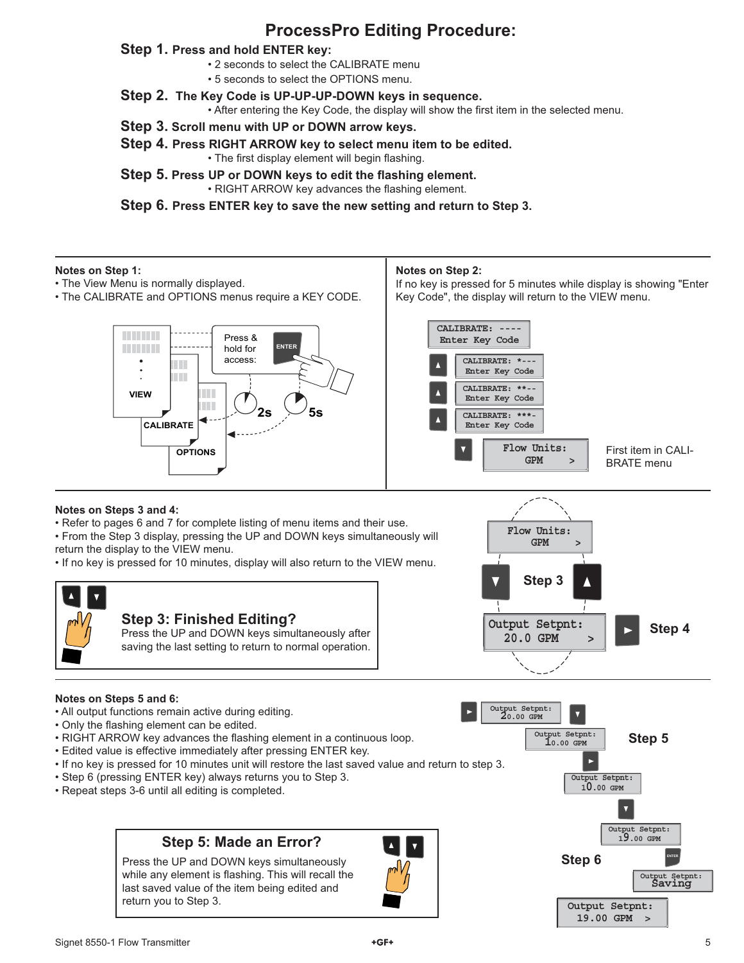## **ProcessPro Editing Procedure:**

#### **Step 1. Press and hold ENTER key:**

- 2 seconds to select the CALIBRATE menu
- 5 seconds to select the OPTIONS menu.
- **Step 2. The Key Code is UP-UP-UP-DOWN keys in sequence.**

• After entering the Key Code, the display will show the first item in the selected menu.

- **Step 3. Scroll menu with UP or DOWN arrow keys.**
- **Step 4. Press RIGHT ARROW key to select menu item to be edited.** • The first display element will begin flashing.
- **Step 5. Press UP or DOWN keys to edit the flashing element.** • RIGHT ARROW key advances the flashing element.

**Step 6. Press ENTER key to save the new setting and return to Step 3.**

#### **Notes on Step 1:**

- The View Menu is normally displayed.
- The CALIBRATE and OPTIONS menus require a KEY CODE.

#### **Notes on Step 2:**

If no key is pressed for 5 minutes while display is showing "Enter Key Code", the display will return to the VIEW menu.

> **GPM > Flow Units:**



#### **Notes on Steps 3 and 4:**

• Refer to pages 6 and 7 for complete listing of menu items and their use.

• From the Step 3 display, pressing the UP and DOWN keys simultaneously will return the display to the VIEW menu.

• If no key is pressed for 10 minutes, display will also return to the VIEW menu.



#### **Notes on Steps 5 and 6:**

- All output functions remain active during editing.
- Only the flashing element can be edited.
- RIGHT ARROW key advances the flashing element in a continuous loop.
- Edited value is effective immediately after pressing ENTER key.
- If no key is pressed for 10 minutes unit will restore the last saved value and return to step 3.
- Step 6 (pressing ENTER key) always returns you to Step 3.
- Repeat steps 3-6 until all editing is completed.

## **Step 5: Made an Error?**

Press the UP and DOWN keys simultaneously while any element is flashing. This will recall the last saved value of the item being edited and return you to Step 3.





 **19.00 GPM >**

Signet 8550-1 Flow Transmitter 5 and the state of the state of the state of the state of the state of the state of the state of the state of the state of the state of the state of the state of the state of the state of the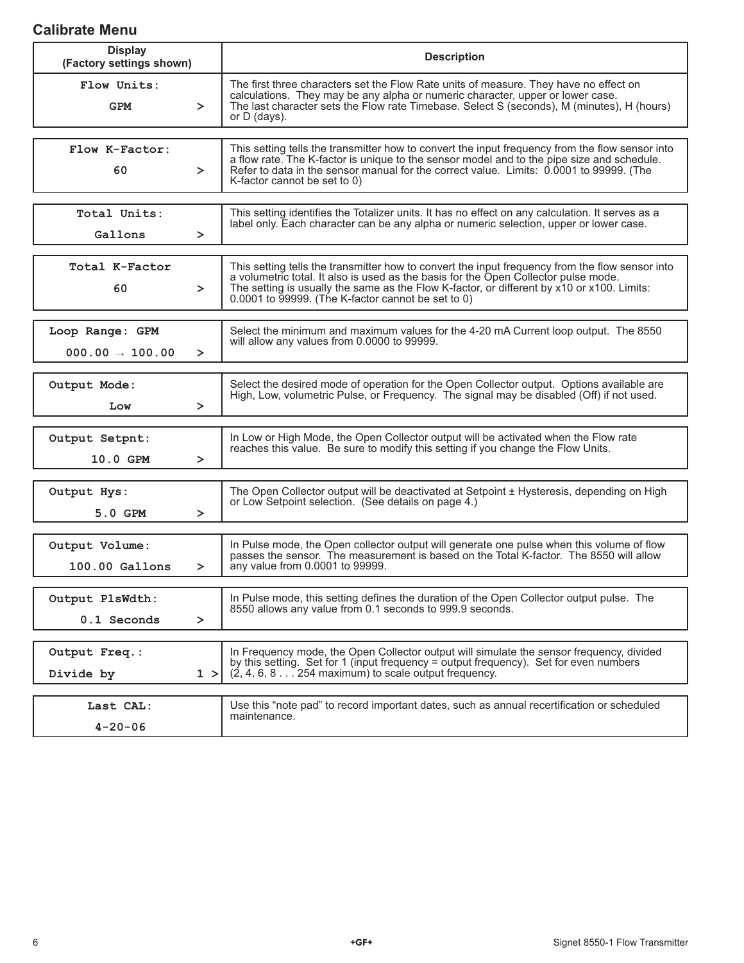## **Calibrate Menu**

| <b>Display</b><br>(Factory settings shown)               | <b>Description</b>                                                                                                                                                                                                                                                                                                                           |
|----------------------------------------------------------|----------------------------------------------------------------------------------------------------------------------------------------------------------------------------------------------------------------------------------------------------------------------------------------------------------------------------------------------|
| Flow Units:<br><b>GPM</b><br>$\geq$                      | The first three characters set the Flow Rate units of measure. They have no effect on<br>calculations. They may be any alpha or numeric character, upper or lower case.<br>The last character sets the Flow rate Timebase. Select S (seconds), M (minutes), H (hours)<br>or $D$ (days).                                                      |
| Flow K-Factor:<br>60<br>$\geq$                           | This setting tells the transmitter how to convert the input frequency from the flow sensor into<br>a flow rate. The K-factor is unique to the sensor model and to the pipe size and schedule.<br>Refer to data in the sensor manual for the correct value. Limits: 0.0001 to 99999. (The<br>K-factor cannot be set to 0)                     |
| Total Units:<br>Gallons<br>$\geq$                        | This setting identifies the Totalizer units. It has no effect on any calculation. It serves as a<br>label only. Each character can be any alpha or numeric selection, upper or lower case.                                                                                                                                                   |
| Total K-Factor<br>60<br>≻                                | This setting tells the transmitter how to convert the input frequency from the flow sensor into<br>a volumetric total. It also is used as the basis for the Open Collector pulse mode.<br>The setting is usually the same as the Flow K-factor, or different by x10 or x100. Limits:<br>$0.0001$ to 99999. (The K-factor cannot be set to 0) |
| Loop Range: GPM<br>$000.00 \rightarrow 100.00$<br>$\geq$ | Select the minimum and maximum values for the 4-20 mA Current loop output. The 8550<br>will allow any values from 0.0000 to 99999.                                                                                                                                                                                                           |
| Output Mode:<br>Low<br>$\geq$                            | Select the desired mode of operation for the Open Collector output. Options available are<br>High, Low, volumetric Pulse, or Frequency. The signal may be disabled (Off) if not used.                                                                                                                                                        |
| Output Setpnt:<br>10.0 GPM<br>$\geq$                     | In Low or High Mode, the Open Collector output will be activated when the Flow rate<br>reaches this value. Be sure to modify this setting if you change the Flow Units.                                                                                                                                                                      |
| Output Hys:<br>5.0 GPM<br>$\geq$                         | The Open Collector output will be deactivated at Setpoint ± Hysteresis, depending on High<br>or Low Setpoint selection. (See details on page 4.)                                                                                                                                                                                             |
| Output Volume:<br>$100.00$ Gallons<br>$\geq$             | In Pulse mode, the Open collector output will generate one pulse when this volume of flow<br>passes the sensor. The measurement is based on the Total K-factor. The 8550 will allow<br>any value from 0.0001 to 99999.                                                                                                                       |
| Output PlsWdth:<br>0.1 Seconds<br>≻                      | In Pulse mode, this setting defines the duration of the Open Collector output pulse. The<br>8550 allows any value from 0.1 seconds to 999.9 seconds.                                                                                                                                                                                         |
| Output Freq.:<br>Divide by                               | In Frequency mode, the Open Collector output will simulate the sensor frequency, divided<br>by this setting. Set for 1 (input frequency = output frequency). Set for even numbers<br>$(2, 4, 6, 8, \ldots 254$ maximum) to scale output frequency.<br>1 >                                                                                    |
| Last CAL:<br>$4 - 20 - 06$                               | Use this "note pad" to record important dates, such as annual recertification or scheduled<br>maintenance.                                                                                                                                                                                                                                   |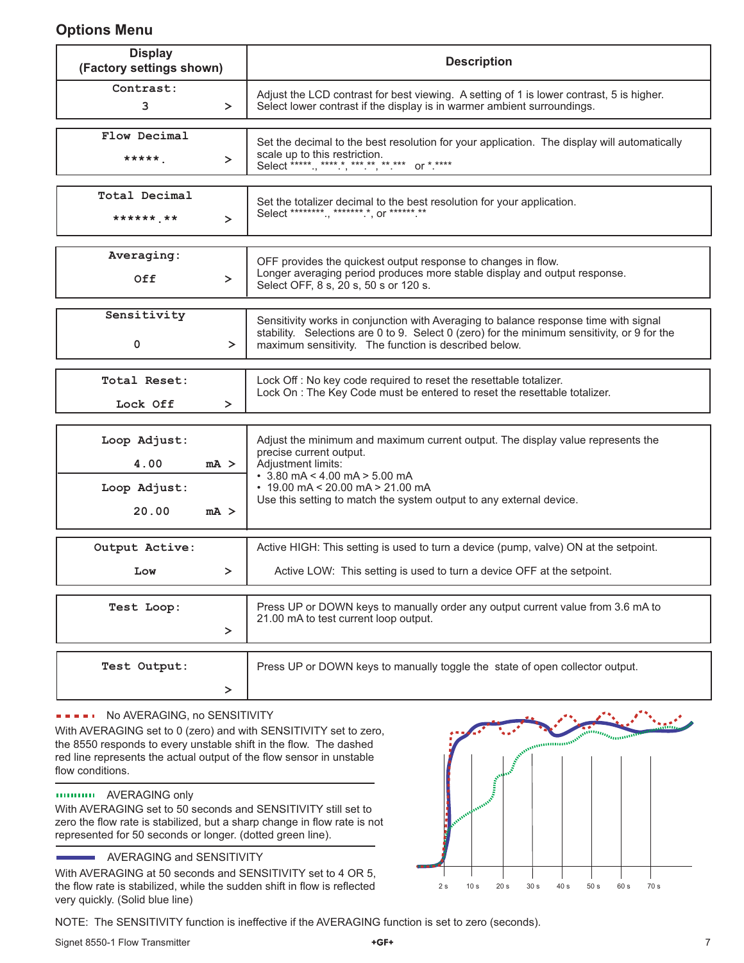## **Options Menu**

| <b>Display</b><br>(Factory settings shown)                      | <b>Description</b>                                                                                                                                                                                                                                                                       |  |
|-----------------------------------------------------------------|------------------------------------------------------------------------------------------------------------------------------------------------------------------------------------------------------------------------------------------------------------------------------------------|--|
| Contrast:<br>3<br>$\geq$                                        | Adjust the LCD contrast for best viewing. A setting of 1 is lower contrast, 5 is higher.<br>Select lower contrast if the display is in warmer ambient surroundings.                                                                                                                      |  |
| Flow Decimal<br>*****<br>$\geq$                                 | Set the decimal to the best resolution for your application. The display will automatically<br>scale up to this restriction.<br>Select *****., *****, ***.**, **.*** or *.****                                                                                                           |  |
| Total Decimal<br>****** **<br>$\geq$                            | Set the totalizer decimal to the best resolution for your application.<br>Select *********, ********,*, or ******.**                                                                                                                                                                     |  |
| Averaging:<br>Off<br>$\geq$                                     | OFF provides the quickest output response to changes in flow.<br>Longer averaging period produces more stable display and output response.<br>Select OFF, 8 s, 20 s, 50 s or 120 s.                                                                                                      |  |
| Sensitivity<br>0<br>$\geq$                                      | Sensitivity works in conjunction with Averaging to balance response time with signal<br>stability. Selections are 0 to 9. Select 0 (zero) for the minimum sensitivity, or 9 for the<br>maximum sensitivity. The function is described below.                                             |  |
| Total Reset:<br>Lock Off<br>$\geq$                              | Lock Off: No key code required to reset the resettable totalizer.<br>Lock On : The Key Code must be entered to reset the resettable totalizer.                                                                                                                                           |  |
| Loop Adjust:<br>4.00<br>$mA$ ><br>Loop Adjust:<br>20.00<br>mA > | Adjust the minimum and maximum current output. The display value represents the<br>precise current output.<br>Adjustment limits:<br>$\cdot$ 3.80 mA < 4.00 mA > 5.00 mA<br>$\cdot$ 19.00 mA < 20.00 mA > 21.00 mA<br>Use this setting to match the system output to any external device. |  |
| Output Active:<br>Low<br>$\geq$                                 | Active HIGH: This setting is used to turn a device (pump, valve) ON at the setpoint.<br>Active LOW: This setting is used to turn a device OFF at the setpoint.                                                                                                                           |  |
| Test Loop:<br>≻                                                 | Press UP or DOWN keys to manually order any output current value from 3.6 mA to<br>21.00 mA to test current loop output.                                                                                                                                                                 |  |
| Test Output:<br>≻                                               | Press UP or DOWN keys to manually toggle the state of open collector output.                                                                                                                                                                                                             |  |

#### **FILITION AVERAGING, no SENSITIVITY**

With AVERAGING set to 0 (zero) and with SENSITIVITY set to zero, the 8550 responds to every unstable shift in the flow. The dashed red line represents the actual output of the flow sensor in unstable flow conditions.

#### AVERAGING only

With AVERAGING set to 50 seconds and SENSITIVITY still set to zero the flow rate is stabilized, but a sharp change in flow rate is not represented for 50 seconds or longer. (dotted green line).

#### AVERAGING and SENSITIVITY

With AVERAGING at 50 seconds and SENSITIVITY set to 4 OR 5, the flow rate is stabilized, while the sudden shift in flow is reflected very quickly. (Solid blue line)



NOTE: The SENSITIVITY function is ineffective if the AVERAGING function is set to zero (seconds).